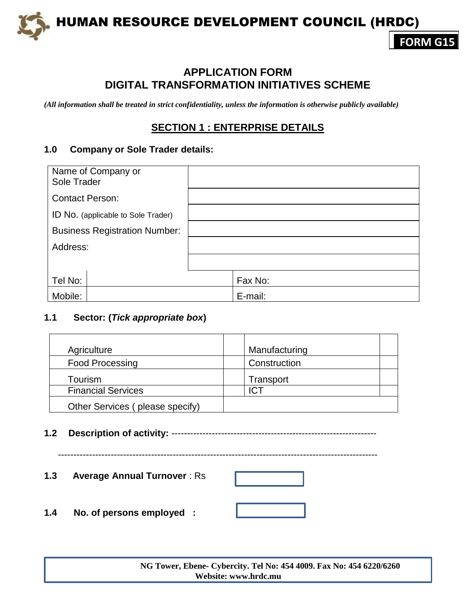

# **APPLICATION FORM DIGITAL TRANSFORMATION INITIATIVES SCHEME**

*(All information shall be treated in strict confidentiality, unless the information is otherwise publicly available)*

# **SECTION 1 : ENTERPRISE DETAILS**

### **1.0 Company or Sole Trader details:**

| Name of Company or<br>Sole Trader    |         |
|--------------------------------------|---------|
| <b>Contact Person:</b>               |         |
| ID No. (applicable to Sole Trader)   |         |
| <b>Business Registration Number:</b> |         |
| Address:                             |         |
|                                      |         |
| Tel No:                              | Fax No: |
| Mobile:                              | E-mail: |

## **1.1 Sector: (***Tick appropriate box***)**

| Agriculture                     | Manufacturing |
|---------------------------------|---------------|
| <b>Food Processing</b>          | Construction  |
| Tourism                         | Transport     |
| <b>Financial Services</b>       | ICT           |
| Other Services (please specify) |               |

**1.2 Description of activity:** ------------------------------------------------------------------

-------------------------------------------------------------------------------------------------------

**1.3 Average Annual Turnover** : Rs

**1.4 No. of persons employed :**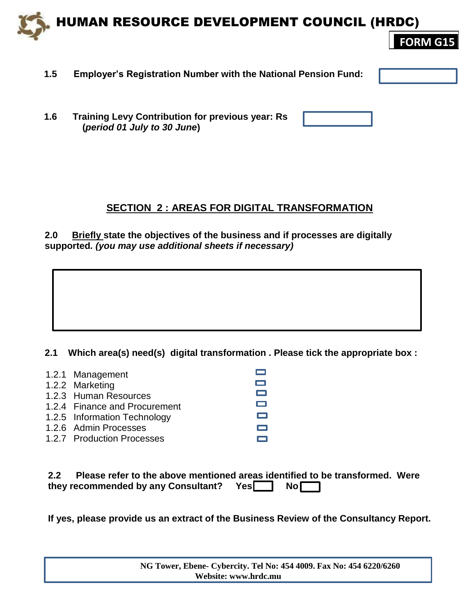

- **1.5 Employer's Registration Number with the National Pension Fund:**
- **1.6 Training Levy Contribution for previous year: Rs (***period 01 July to 30 June***)**

# **SECTION 2 : AREAS FOR DIGITAL TRANSFORMATION**

**2.0 Briefly state the objectives of the business and if processes are digitally supported***. (you may use additional sheets if necessary)*

**2.1 Which area(s) need(s) digital transformation . Please tick the appropriate box :**

| 1.2.1 Management              |        |
|-------------------------------|--------|
| 1.2.2 Marketing               | $\Box$ |
| 1.2.3 Human Resources         | $\Box$ |
| 1.2.4 Finance and Procurement | $\Box$ |
| 1.2.5 Information Technology  |        |
| 1.2.6 Admin Processes         |        |
| 1.2.7 Production Processes    |        |

| 2.2 <sub>2</sub> | Please refer to the above mentioned areas identified to be transformed. Were |  |  |  |
|------------------|------------------------------------------------------------------------------|--|--|--|
|                  | they recommended by any Consultant? Yes <sup>1</sup> No                      |  |  |  |

**If yes, please provide us an extract of the Business Review of the Consultancy Report.**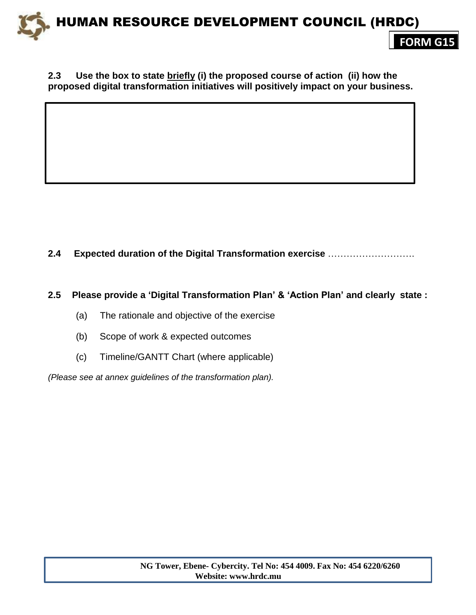#### **2.3 Use the box to state briefly (i) the proposed course of action (ii) how the proposed digital transformation initiatives will positively impact on your business.**

## **2.4 Expected duration of the Digital Transformation exercise** ……………………….

#### **2.5 Please provide a 'Digital Transformation Plan' & 'Action Plan' and clearly state :**

- (a) The rationale and objective of the exercise
- (b) Scope of work & expected outcomes
- (c) Timeline/GANTT Chart (where applicable)

*(Please see at annex guidelines of the transformation plan).*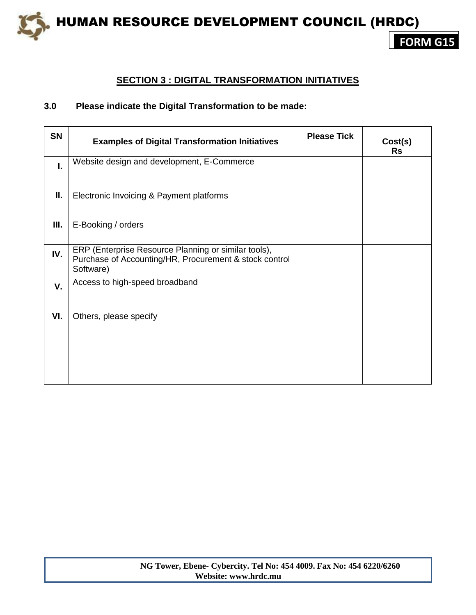

## **SECTION 3 : DIGITAL TRANSFORMATION INITIATIVES**

### **3.0 Please indicate the Digital Transformation to be made:**

| <b>SN</b> | <b>Examples of Digital Transformation Initiatives</b>                                                                       | <b>Please Tick</b> | Cost(s)<br><b>Rs</b> |
|-----------|-----------------------------------------------------------------------------------------------------------------------------|--------------------|----------------------|
| I.        | Website design and development, E-Commerce                                                                                  |                    |                      |
| Ш.        | Electronic Invoicing & Payment platforms                                                                                    |                    |                      |
| Ш.        | E-Booking / orders                                                                                                          |                    |                      |
| IV.       | ERP (Enterprise Resource Planning or similar tools),<br>Purchase of Accounting/HR, Procurement & stock control<br>Software) |                    |                      |
| V.        | Access to high-speed broadband                                                                                              |                    |                      |
| VI.       | Others, please specify                                                                                                      |                    |                      |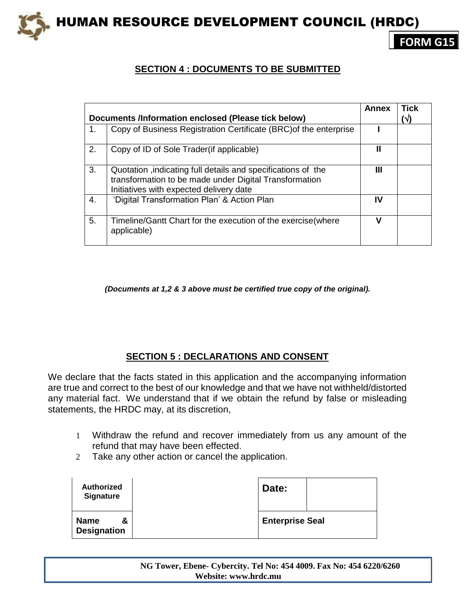

**FORM G15**

# **SECTION 4 : DOCUMENTS TO BE SUBMITTED**

|    |                                                                                                                                                                   | Annex | <b>Tick</b> |
|----|-------------------------------------------------------------------------------------------------------------------------------------------------------------------|-------|-------------|
|    | Documents /Information enclosed (Please tick below)                                                                                                               |       | $(\sqrt{})$ |
| 1. | Copy of Business Registration Certificate (BRC) of the enterprise                                                                                                 |       |             |
| 2. | Copy of ID of Sole Trader (if applicable)                                                                                                                         | Ш     |             |
| 3. | Quotation, indicating full details and specifications of the<br>transformation to be made under Digital Transformation<br>Initiatives with expected delivery date | Ш     |             |
| 4. | 'Digital Transformation Plan' & Action Plan                                                                                                                       | IV    |             |
| 5. | Timeline/Gantt Chart for the execution of the exercise (where<br>applicable)                                                                                      | v     |             |

*(Documents at 1,2 & 3 above must be certified true copy of the original).*

# **SECTION 5 : DECLARATIONS AND CONSENT**

We declare that the facts stated in this application and the accompanying information are true and correct to the best of our knowledge and that we have not withheld/distorted any material fact. We understand that if we obtain the refund by false or misleading statements, the HRDC may, at its discretion,

- 1 Withdraw the refund and recover immediately from us any amount of the refund that may have been effected.
- 2 Take any other action or cancel the application.

| <b>Authorized</b><br><b>Signature</b>  | Date:                  |  |
|----------------------------------------|------------------------|--|
| <b>Name</b><br>&<br><b>Designation</b> | <b>Enterprise Seal</b> |  |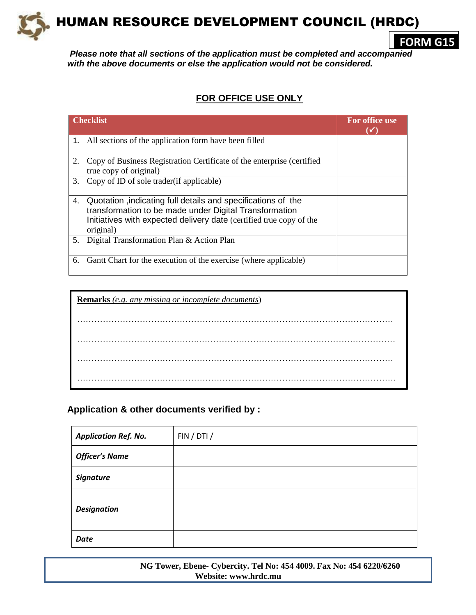

**FORM G15**

*Please note that all sections of the application must be completed and accompanied with the above documents or else the application would not be considered.*

# **FOR OFFICE USE ONLY**

|    | <b>Checklist</b>                                                                                                                                                                                           | For office use |
|----|------------------------------------------------------------------------------------------------------------------------------------------------------------------------------------------------------------|----------------|
|    | 1. All sections of the application form have been filled                                                                                                                                                   |                |
|    | Copy of Business Registration Certificate of the enterprise (certified<br>true copy of original)                                                                                                           |                |
|    | 3. Copy of ID of sole trader (if applicable)                                                                                                                                                               |                |
| 4. | Quotation, indicating full details and specifications of the<br>transformation to be made under Digital Transformation<br>Initiatives with expected delivery date (certified true copy of the<br>original) |                |
| 5. | Digital Transformation Plan & Action Plan                                                                                                                                                                  |                |
| 6. | Gant Chart for the execution of the exercise (where applicable)                                                                                                                                            |                |

| <b>Remarks</b> (e.g. any missing or incomplete documents) |
|-----------------------------------------------------------|
|                                                           |
|                                                           |
|                                                           |
|                                                           |

**Application & other documents verified by :** 

| <b>Application Ref. No.</b> | FIN / DTI / |
|-----------------------------|-------------|
| <b>Officer's Name</b>       |             |
| <b>Signature</b>            |             |
| <b>Designation</b>          |             |
| <b>Date</b>                 |             |